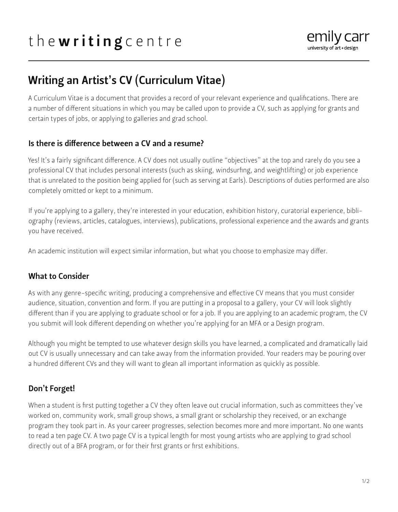# the writing centre



## Writing an Artist's CV (Curriculum Vitae)

A Curriculum Vitae is a document that provides a record of your relevant experience and qualifications. There are a number of different situations in which you may be called upon to provide a CV, such as applying for grants and certain types of jobs, or applying to galleries and grad school.

#### Is there is difference between a CV and a resume?

Yes! It's a fairly significant difference. A CV does not usually outline "objectives" at the top and rarely do you see a professional CV that includes personal interests (such as skiing, windsurfing, and weightlifting) or job experience that is unrelated to the position being applied for (such as serving at Earls). Descriptions of duties performed are also completely omitted or kept to a minimum.

If you're applying to a gallery, they're interested in your education, exhibition history, curatorial experience, bibliography (reviews, articles, catalogues, interviews), publications, professional experience and the awards and grants you have received.

An academic institution will expect similar information, but what you choose to emphasize may differ.

#### What to Consider

As with any genre-specific writing, producing a comprehensive and effective CV means that you must consider audience, situation, convention and form. If you are putting in a proposal to a gallery, your CV will look slightly different than if you are applying to graduate school or for a job. If you are applying to an academic program, the CV you submit will look different depending on whether you're applying for an MFA or a Design program.

Although you might be tempted to use whatever design skills you have learned, a complicated and dramatically laid out CV is usually unnecessary and can take away from the information provided. Your readers may be pouring over a hundred different CVs and they will want to glean all important information as quickly as possible.

#### Don't Forget!

When a student is first putting together a CV they often leave out crucial information, such as committees they've worked on, community work, small group shows, a small grant or scholarship they received, or an exchange program they took part in. As your career progresses, selection becomes more and more important. No one wants to read a ten page CV. A two page CV is a typical length for most young artists who are applying to grad school directly out of a BFA program, or for their first grants or first exhibitions.